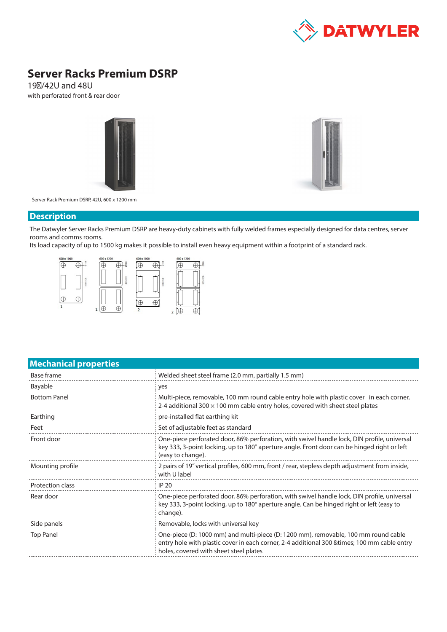

# **Server Racks Premium DSRP**

19″/42U and 48U with perforated front & rear door





Server Rack Premium DSRP, 42U, 600 x 1200 mm

#### **Description**

The Datwyler Server Racks Premium DSRP are heavy-duty cabinets with fully welded frames especially designed for data centres, server rooms and comms rooms.

Its load capacity of up to 1500 kg makes it possible to install even heavy equipment within a footprint of a standard rack.



| Welded sheet steel frame (2.0 mm, partially 1.5 mm)                                                                                                                                                                          |  |  |  |
|------------------------------------------------------------------------------------------------------------------------------------------------------------------------------------------------------------------------------|--|--|--|
| yes                                                                                                                                                                                                                          |  |  |  |
| Multi-piece, removable, 100 mm round cable entry hole with plastic cover in each corner,<br>2-4 additional 300 $\times$ 100 mm cable entry holes, covered with sheet steel plates                                            |  |  |  |
| pre-installed flat earthing kit                                                                                                                                                                                              |  |  |  |
| Set of adjustable feet as standard                                                                                                                                                                                           |  |  |  |
| One-piece perforated door, 86% perforation, with swivel handle lock, DIN profile, universal<br>key 333, 3-point locking, up to 180° aperture angle. Front door can be hinged right or left<br>(easy to change).              |  |  |  |
| 2 pairs of 19" vertical profiles, 600 mm, front / rear, stepless depth adjustment from inside,<br>with U label                                                                                                               |  |  |  |
| <b>IP 20</b>                                                                                                                                                                                                                 |  |  |  |
| One-piece perforated door, 86% perforation, with swivel handle lock, DIN profile, universal<br>key 333, 3-point locking, up to 180° aperture angle. Can be hinged right or left (easy to<br>change).                         |  |  |  |
| Removable, locks with universal key                                                                                                                                                                                          |  |  |  |
| One-piece (D: 1000 mm) and multi-piece (D: 1200 mm), removable, 100 mm round cable<br>entry hole with plastic cover in each corner, 2-4 additional 300 & times; 100 mm cable entry<br>holes, covered with sheet steel plates |  |  |  |
|                                                                                                                                                                                                                              |  |  |  |